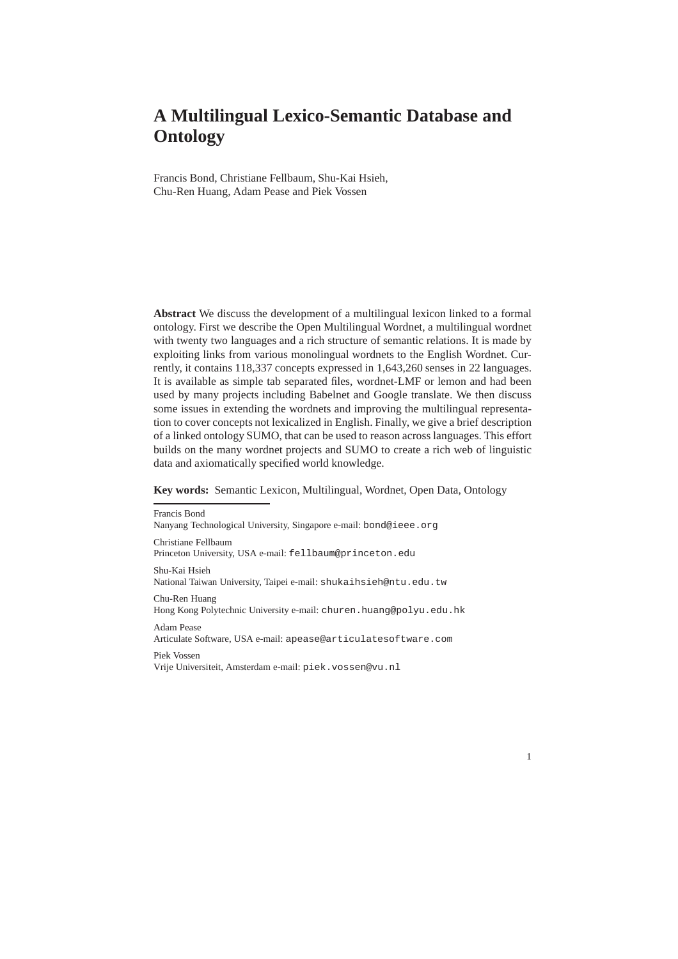Francis Bond, Christiane Fellbaum, Shu-Kai Hsieh, Chu-Ren Huang, Adam Pease and Piek Vossen

**Abstract** We discuss the development of a multilingual lexicon linked to a formal ontology. First we describe the Open Multilingual Wordnet, a multilingual wordnet with twenty two languages and a rich structure of semantic relations. It is made by exploiting links from various monolingual wordnets to the English Wordnet. Currently, it contains 118,337 concepts expressed in 1,643,260 senses in 22 languages. It is available as simple tab separated files, wordnet-LMF or lemon and had been used by many projects including Babelnet and Google translate. We then discuss some issues in extending the wordnets and improving the multilingual representation to cover concepts not lexicalized in English. Finally, we give a brief description of a linked ontology SUMO, that can be used to reason across languages. This effort builds on the many wordnet projects and SUMO to create a rich web of linguistic data and axiomatically specified world knowledge.

**Key words:** Semantic Lexicon, Multilingual, Wordnet, Open Data, Ontology

1

Francis Bond Nanyang Technological University, Singapore e-mail: bond@ieee.org Christiane Fellbaum Princeton University, USA e-mail: fellbaum@princeton.edu Shu-Kai Hsieh National Taiwan University, Taipei e-mail: shukaihsieh@ntu.edu.tw Chu-Ren Huang Hong Kong Polytechnic University e-mail: churen.huang@polyu.edu.hk Adam Pease Articulate Software, USA e-mail: apease@articulatesoftware.com Piek Vossen Vrije Universiteit, Amsterdam e-mail: piek.vossen@vu.nl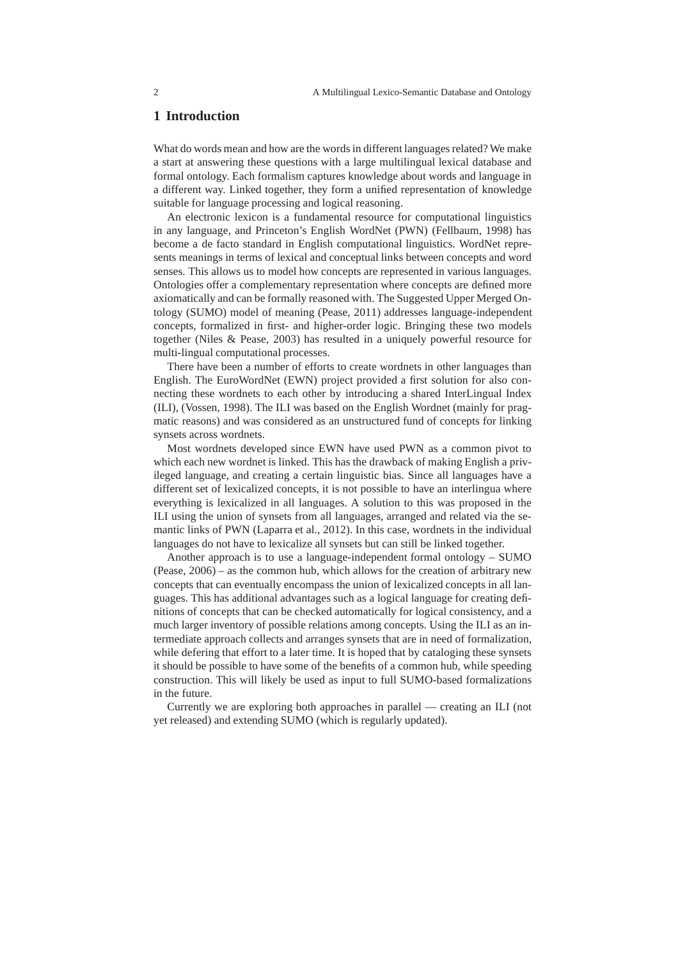# **1 Introduction**

What do words mean and how are the words in different languages related? We make a start at answering these questions with a large multilingual lexical database and formal ontology. Each formalism captures knowledge about words and language in a different way. Linked together, they form a unified representation of knowledge suitable for language processing and logical reasoning.

An electronic lexicon is a fundamental resource for computational linguistics in any language, and Princeton's English WordNet (PWN) (Fellbaum, 1998) has become a de facto standard in English computational linguistics. WordNet represents meanings in terms of lexical and conceptual links between concepts and word senses. This allows us to model how concepts are represented in various languages. Ontologies offer a complementary representation where concepts are defined more axiomatically and can be formally reasoned with. The Suggested Upper Merged Ontology (SUMO) model of meaning (Pease, 2011) addresses language-independent concepts, formalized in first- and higher-order logic. Bringing these two models together (Niles & Pease, 2003) has resulted in a uniquely powerful resource for multi-lingual computational processes.

There have been a number of efforts to create wordnets in other languages than English. The EuroWordNet (EWN) project provided a first solution for also connecting these wordnets to each other by introducing a shared InterLingual Index (ILI), (Vossen, 1998). The ILI was based on the English Wordnet (mainly for pragmatic reasons) and was considered as an unstructured fund of concepts for linking synsets across wordnets.

Most wordnets developed since EWN have used PWN as a common pivot to which each new wordnet is linked. This has the drawback of making English a privileged language, and creating a certain linguistic bias. Since all languages have a different set of lexicalized concepts, it is not possible to have an interlingua where everything is lexicalized in all languages. A solution to this was proposed in the ILI using the union of synsets from all languages, arranged and related via the semantic links of PWN (Laparra et al., 2012). In this case, wordnets in the individual languages do not have to lexicalize all synsets but can still be linked together.

Another approach is to use a language-independent formal ontology – SUMO (Pease, 2006) – as the common hub, which allows for the creation of arbitrary new concepts that can eventually encompass the union of lexicalized concepts in all languages. This has additional advantages such as a logical language for creating definitions of concepts that can be checked automatically for logical consistency, and a much larger inventory of possible relations among concepts. Using the ILI as an intermediate approach collects and arranges synsets that are in need of formalization, while defering that effort to a later time. It is hoped that by cataloging these synsets it should be possible to have some of the benefits of a common hub, while speeding construction. This will likely be used as input to full SUMO-based formalizations in the future.

Currently we are exploring both approaches in parallel — creating an ILI (not yet released) and extending SUMO (which is regularly updated).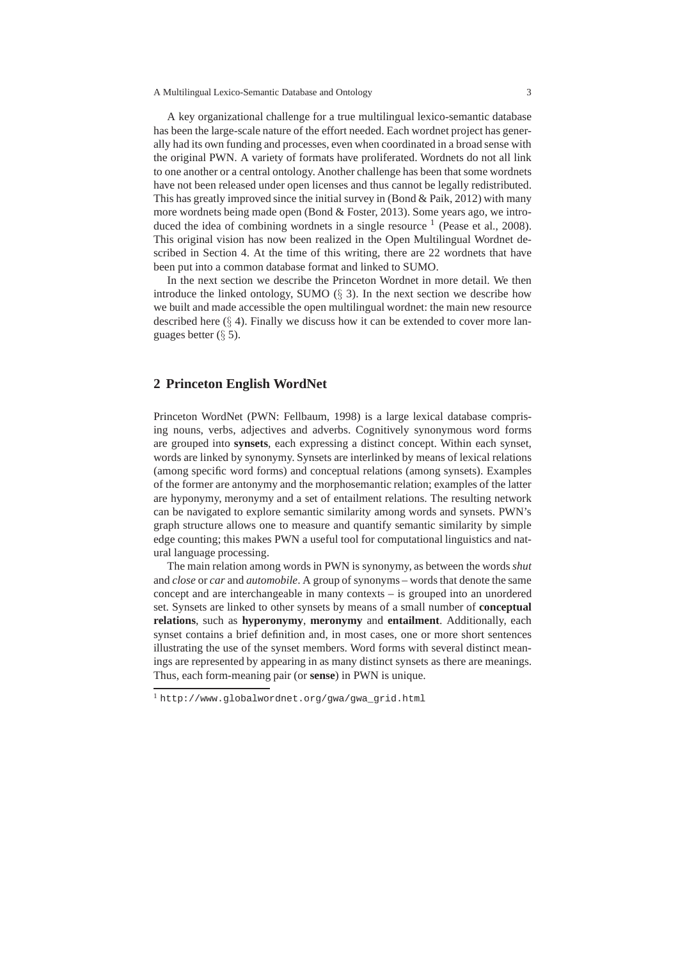A key organizational challenge for a true multilingual lexico-semantic database has been the large-scale nature of the effort needed. Each wordnet project has generally had its own funding and processes, even when coordinated in a broad sense with the original PWN. A variety of formats have proliferated. Wordnets do not all link to one another or a central ontology. Another challenge has been that some wordnets have not been released under open licenses and thus cannot be legally redistributed. This has greatly improved since the initial survey in (Bond & Paik, 2012) with many more wordnets being made open (Bond & Foster, 2013). Some years ago, we introduced the idea of combining wordnets in a single resource  $1$  (Pease et al., 2008). This original vision has now been realized in the Open Multilingual Wordnet described in Section 4. At the time of this writing, there are 22 wordnets that have been put into a common database format and linked to SUMO.

In the next section we describe the Princeton Wordnet in more detail. We then introduce the linked ontology, SUMO  $(\S$  3). In the next section we describe how we built and made accessible the open multilingual wordnet: the main new resource described here  $(\S 4)$ . Finally we discuss how it can be extended to cover more languages better  $(\S 5)$ .

## **2 Princeton English WordNet**

Princeton WordNet (PWN: Fellbaum, 1998) is a large lexical database comprising nouns, verbs, adjectives and adverbs. Cognitively synonymous word forms are grouped into **synsets**, each expressing a distinct concept. Within each synset, words are linked by synonymy. Synsets are interlinked by means of lexical relations (among specific word forms) and conceptual relations (among synsets). Examples of the former are antonymy and the morphosemantic relation; examples of the latter are hyponymy, meronymy and a set of entailment relations. The resulting network can be navigated to explore semantic similarity among words and synsets. PWN's graph structure allows one to measure and quantify semantic similarity by simple edge counting; this makes PWN a useful tool for computational linguistics and natural language processing.

The main relation among words in PWN is synonymy, as between the words *shut* and *close* or *car* and *automobile*. A group of synonyms – words that denote the same concept and are interchangeable in many contexts – is grouped into an unordered set. Synsets are linked to other synsets by means of a small number of **conceptual relations**, such as **hyperonymy**, **meronymy** and **entailment**. Additionally, each synset contains a brief definition and, in most cases, one or more short sentences illustrating the use of the synset members. Word forms with several distinct meanings are represented by appearing in as many distinct synsets as there are meanings. Thus, each form-meaning pair (or **sense**) in PWN is unique.

<sup>1</sup> http://www.globalwordnet.org/gwa/gwa\_grid.html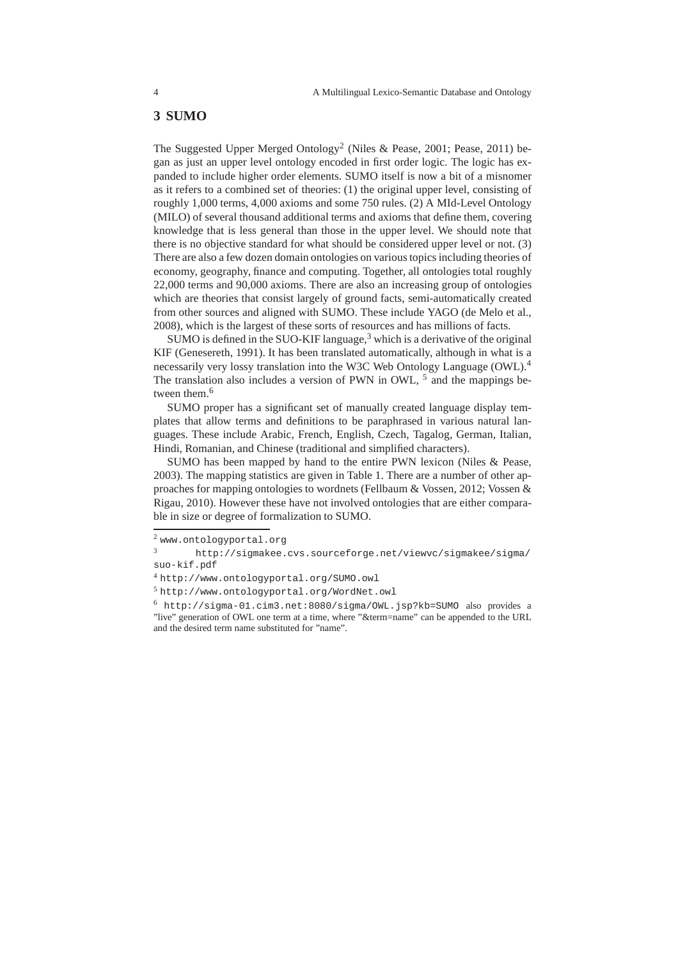#### **3 SUMO**

The Suggested Upper Merged Ontology<sup>2</sup> (Niles & Pease, 2001; Pease, 2011) began as just an upper level ontology encoded in first order logic. The logic has expanded to include higher order elements. SUMO itself is now a bit of a misnomer as it refers to a combined set of theories: (1) the original upper level, consisting of roughly 1,000 terms, 4,000 axioms and some 750 rules. (2) A MId-Level Ontology (MILO) of several thousand additional terms and axioms that define them, covering knowledge that is less general than those in the upper level. We should note that there is no objective standard for what should be considered upper level or not. (3) There are also a few dozen domain ontologies on various topics including theories of economy, geography, finance and computing. Together, all ontologies total roughly 22,000 terms and 90,000 axioms. There are also an increasing group of ontologies which are theories that consist largely of ground facts, semi-automatically created from other sources and aligned with SUMO. These include YAGO (de Melo et al., 2008), which is the largest of these sorts of resources and has millions of facts.

SUMO is defined in the SUO-KIF language, $3$  which is a derivative of the original KIF (Genesereth, 1991). It has been translated automatically, although in what is a necessarily very lossy translation into the W3C Web Ontology Language (OWL).<sup>4</sup> The translation also includes a version of PWN in OWL,  $<sup>5</sup>$  and the mappings be-</sup> tween them.<sup>6</sup>

SUMO proper has a significant set of manually created language display templates that allow terms and definitions to be paraphrased in various natural languages. These include Arabic, French, English, Czech, Tagalog, German, Italian, Hindi, Romanian, and Chinese (traditional and simplified characters).

SUMO has been mapped by hand to the entire PWN lexicon (Niles & Pease, 2003). The mapping statistics are given in Table 1. There are a number of other approaches for mapping ontologies to wordnets (Fellbaum & Vossen, 2012; Vossen & Rigau, 2010). However these have not involved ontologies that are either comparable in size or degree of formalization to SUMO.

<sup>2</sup> www.ontologyportal.org

<sup>3</sup> http://sigmakee.cvs.sourceforge.net/viewvc/sigmakee/sigma/ suo-kif.pdf

<sup>4</sup> http://www.ontologyportal.org/SUMO.owl

<sup>5</sup> http://www.ontologyportal.org/WordNet.owl

<sup>6</sup> http://sigma-01.cim3.net:8080/sigma/OWL.jsp?kb=SUMO also provides a "live" generation of OWL one term at a time, where "&term=name" can be appended to the URL and the desired term name substituted for "name".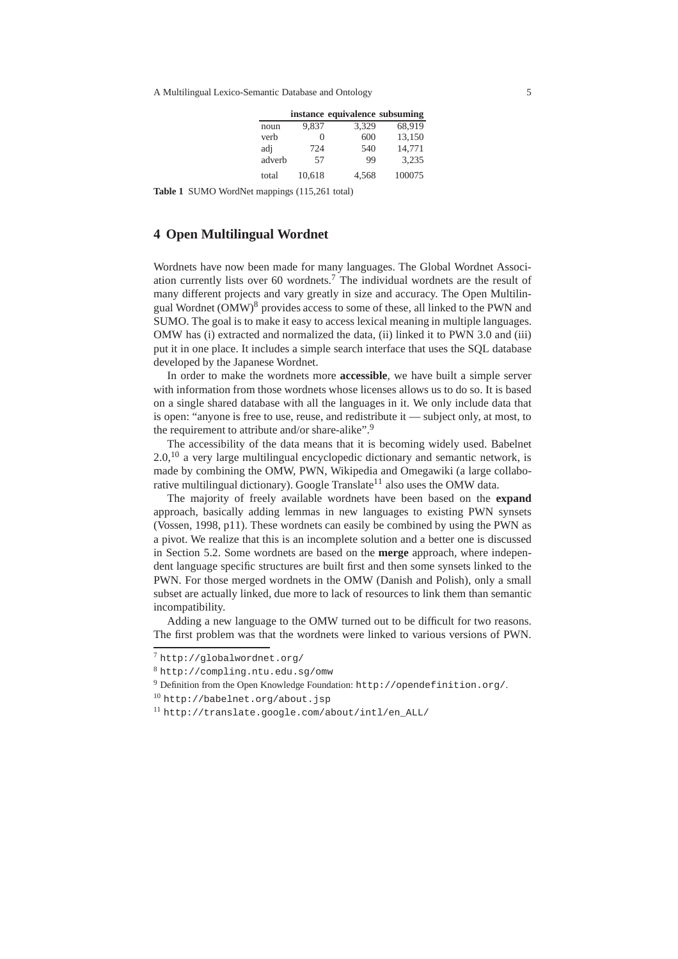|        |        | instance equivalence subsuming |        |
|--------|--------|--------------------------------|--------|
| noun   | 9,837  | 3.329                          | 68.919 |
| verb   | 0      | 600                            | 13,150 |
| adj    | 724    | 540                            | 14.771 |
| adverb | 57     | 99                             | 3.235  |
| total  | 10.618 | 4.568                          | 100075 |

**Table 1** SUMO WordNet mappings (115,261 total)

## **4 Open Multilingual Wordnet**

Wordnets have now been made for many languages. The Global Wordnet Association currently lists over 60 wordnets.<sup>7</sup> The individual wordnets are the result of many different projects and vary greatly in size and accuracy. The Open Multilingual Wordnet (OMW)<sup>8</sup> provides access to some of these, all linked to the PWN and SUMO. The goal is to make it easy to access lexical meaning in multiple languages. OMW has (i) extracted and normalized the data, (ii) linked it to PWN 3.0 and (iii) put it in one place. It includes a simple search interface that uses the SQL database developed by the Japanese Wordnet.

In order to make the wordnets more **accessible**, we have built a simple server with information from those wordnets whose licenses allows us to do so. It is based on a single shared database with all the languages in it. We only include data that is open: "anyone is free to use, reuse, and redistribute it — subject only, at most, to the requirement to attribute and/or share-alike".<sup>9</sup>

The accessibility of the data means that it is becoming widely used. Babelnet  $2.0$ ,<sup>10</sup> a very large multilingual encyclopedic dictionary and semantic network, is made by combining the OMW, PWN, Wikipedia and Omegawiki (a large collaborative multilingual dictionary). Google Translate<sup>11</sup> also uses the OMW data.

The majority of freely available wordnets have been based on the **expand** approach, basically adding lemmas in new languages to existing PWN synsets (Vossen, 1998, p11). These wordnets can easily be combined by using the PWN as a pivot. We realize that this is an incomplete solution and a better one is discussed in Section 5.2. Some wordnets are based on the **merge** approach, where independent language specific structures are built first and then some synsets linked to the PWN. For those merged wordnets in the OMW (Danish and Polish), only a small subset are actually linked, due more to lack of resources to link them than semantic incompatibility.

Adding a new language to the OMW turned out to be difficult for two reasons. The first problem was that the wordnets were linked to various versions of PWN.

<sup>7</sup> http://globalwordnet.org/

<sup>8</sup> http://compling.ntu.edu.sg/omw

<sup>9</sup> Definition from the Open Knowledge Foundation: http://opendefinition.org/.

<sup>10</sup> http://babelnet.org/about.jsp

<sup>11</sup> http://translate.google.com/about/intl/en\_ALL/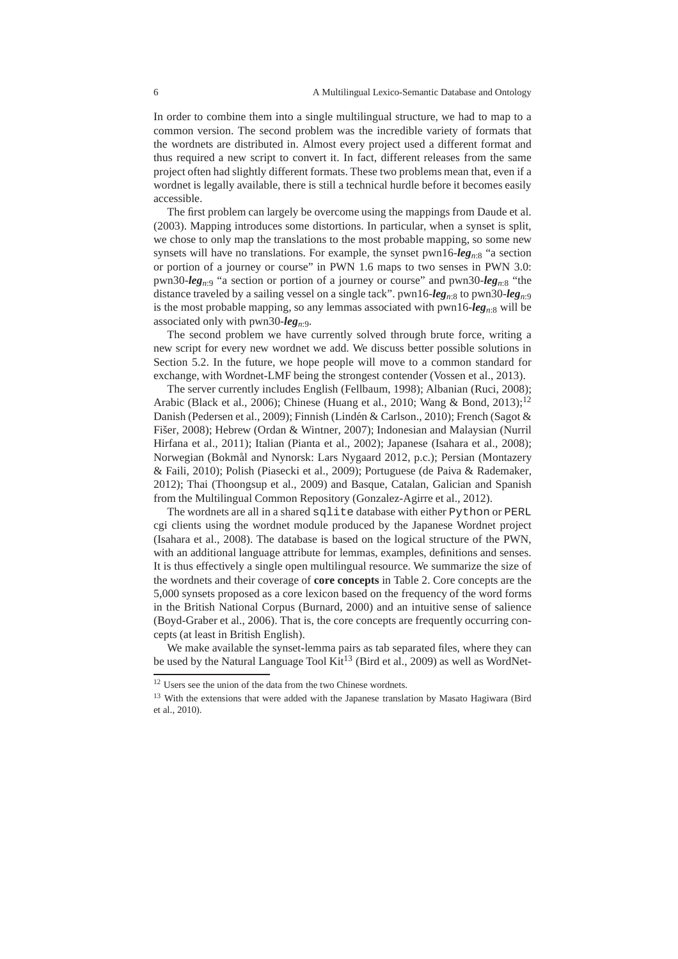In order to combine them into a single multilingual structure, we had to map to a common version. The second problem was the incredible variety of formats that the wordnets are distributed in. Almost every project used a different format and thus required a new script to convert it. In fact, different releases from the same project often had slightly different formats. These two problems mean that, even if a wordnet is legally available, there is still a technical hurdle before it becomes easily accessible.

The first problem can largely be overcome using the mappings from Daude et al. (2003). Mapping introduces some distortions. In particular, when a synset is split, we chose to only map the translations to the most probable mapping, so some new synsets will have no translations. For example, the synset pwn16-*legn*:8 "a section or portion of a journey or course" in PWN 1.6 maps to two senses in PWN 3.0: pwn30-*legn*:9 "a section or portion of a journey or course" and pwn30-*legn*:8 "the distance traveled by a sailing vessel on a single tack". pwn16-*legn*:8 to pwn30-*legn*:9 is the most probable mapping, so any lemmas associated with pwn16-*legn*:8 will be associated only with pwn30-*legn*:9.

The second problem we have currently solved through brute force, writing a new script for every new wordnet we add. We discuss better possible solutions in Section 5.2. In the future, we hope people will move to a common standard for exchange, with Wordnet-LMF being the strongest contender (Vossen et al., 2013).

The server currently includes English (Fellbaum, 1998); Albanian (Ruci, 2008); Arabic (Black et al., 2006); Chinese (Huang et al., 2010; Wang & Bond, 2013);<sup>12</sup> Danish (Pedersen et al., 2009); Finnish (Lindén & Carlson., 2010); French (Sagot & Fišer, 2008); Hebrew (Ordan & Wintner, 2007); Indonesian and Malaysian (Nurril Hirfana et al., 2011); Italian (Pianta et al., 2002); Japanese (Isahara et al., 2008); Norwegian (Bokmål and Nynorsk: Lars Nygaard 2012, p.c.); Persian (Montazery & Faili, 2010); Polish (Piasecki et al., 2009); Portuguese (de Paiva & Rademaker, 2012); Thai (Thoongsup et al., 2009) and Basque, Catalan, Galician and Spanish from the Multilingual Common Repository (Gonzalez-Agirre et al., 2012).

The wordnets are all in a shared sqlite database with either Python or PERL cgi clients using the wordnet module produced by the Japanese Wordnet project (Isahara et al., 2008). The database is based on the logical structure of the PWN, with an additional language attribute for lemmas, examples, definitions and senses. It is thus effectively a single open multilingual resource. We summarize the size of the wordnets and their coverage of **core concepts** in Table 2. Core concepts are the 5,000 synsets proposed as a core lexicon based on the frequency of the word forms in the British National Corpus (Burnard, 2000) and an intuitive sense of salience (Boyd-Graber et al., 2006). That is, the core concepts are frequently occurring concepts (at least in British English).

We make available the synset-lemma pairs as tab separated files, where they can be used by the Natural Language Tool Kit<sup>13</sup> (Bird et al., 2009) as well as WordNet-

<sup>&</sup>lt;sup>12</sup> Users see the union of the data from the two Chinese wordnets.

<sup>&</sup>lt;sup>13</sup> With the extensions that were added with the Japanese translation by Masato Hagiwara (Bird et al., 2010).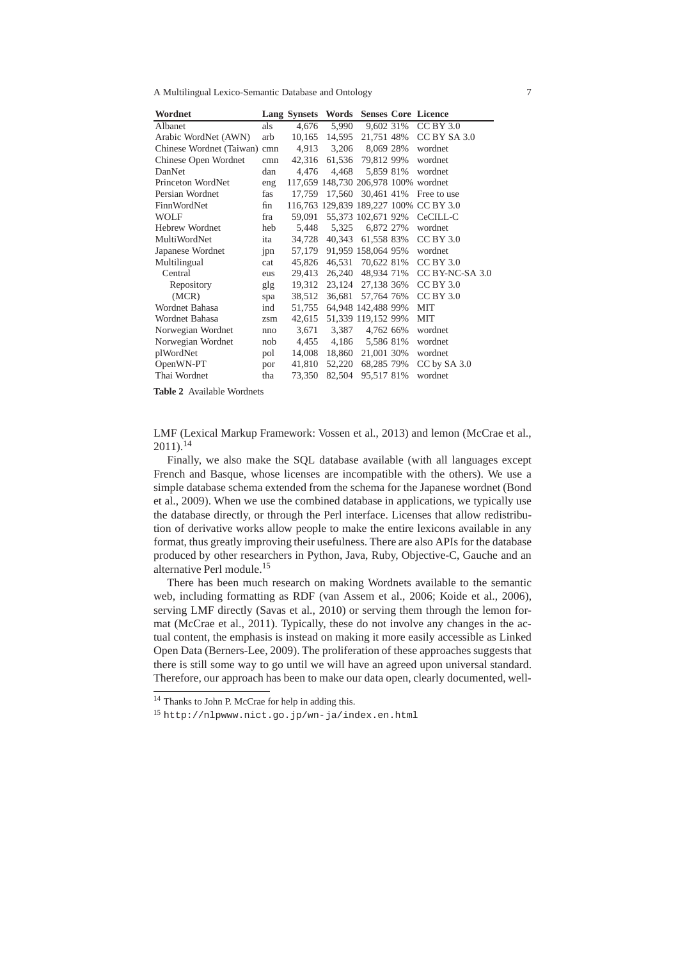| Wordnet                  |        | <b>Lang Synsets</b> | Words  |                    | <b>Senses Core Licence</b>             |
|--------------------------|--------|---------------------|--------|--------------------|----------------------------------------|
| Albanet                  | als    | 4,676               | 5,990  | 9,602 31%          | $CC$ BY 3.0                            |
| Arabic WordNet (AWN)     | arb    | 10,165              | 14,595 | 21,751 48%         | CC BY SA 3.0                           |
| Chinese Wordnet (Taiwan) | cmn    | 4,913               | 3,206  | 8,069 28%          | wordnet                                |
| Chinese Open Wordnet     | cmn    | 42,316              | 61,536 | 79,812 99%         | wordnet                                |
| DanNet                   | dan    | 4,476               | 4.468  | 5.859 81%          | wordnet                                |
| Princeton WordNet        | eng    |                     |        |                    | 117,659 148,730 206,978 100% wordnet   |
| Persian Wordnet          | fas    | 17.759              | 17.560 | 30.461 41%         | Free to use                            |
| FinnWordNet              | fin    |                     |        |                    | 116,763 129,839 189,227 100% CC BY 3.0 |
| WOLF                     | fra    | 59,091              |        | 55,373 102,671 92% | CeCILL-C                               |
| Hebrew Wordnet           | heb    | 5.448               | 5,325  | 6,872 27%          | wordnet                                |
| MultiWordNet             | ita    | 34,728              | 40,343 | 61,558 83%         | <b>CC BY 3.0</b>                       |
| Japanese Wordnet         | jpn    | 57,179              |        | 91,959 158,064 95% | wordnet                                |
| Multilingual             | cat    | 45,826              | 46.531 | 70,622 81%         | $CC$ BY 3.0                            |
| Central                  | eus    | 29,413              | 26,240 | 48,934 71%         | CC BY-NC-SA 3.0                        |
| Repository               | $g$ lg | 19,312              | 23,124 | 27,138 36%         | $CC$ BY 3.0                            |
| (MCR)                    | spa    | 38,512              | 36,681 | 57,764 76%         | <b>CC BY 3.0</b>                       |
| Wordnet Bahasa           | ind    | 51,755              |        | 64,948 142,488 99% | MIT                                    |
| Wordnet Bahasa           | zsm    | 42,615              |        | 51,339 119,152 99% | MIT                                    |
| Norwegian Wordnet        | nno    | 3,671               | 3,387  | 4,762 66%          | wordnet                                |
| Norwegian Wordnet        | nob    | 4,455               | 4,186  | 5,586 81%          | wordnet                                |
| plWordNet                | pol    | 14,008              | 18,860 | 21,001 30%         | wordnet                                |
| OpenWN-PT                | por    | 41,810              | 52,220 | 68,285 79%         | $CC$ by $SA$ 3.0                       |
| Thai Wordnet             | tha    | 73,350              | 82,504 | 95,517 81%         | wordnet                                |

**Table 2** Available Wordnets

LMF (Lexical Markup Framework: Vossen et al., 2013) and lemon (McCrae et al.,  $2011$ ).<sup>14</sup>

Finally, we also make the SQL database available (with all languages except French and Basque, whose licenses are incompatible with the others). We use a simple database schema extended from the schema for the Japanese wordnet (Bond et al., 2009). When we use the combined database in applications, we typically use the database directly, or through the Perl interface. Licenses that allow redistribution of derivative works allow people to make the entire lexicons available in any format, thus greatly improving their usefulness. There are also APIs for the database produced by other researchers in Python, Java, Ruby, Objective-C, Gauche and an alternative Perl module.<sup>15</sup>

There has been much research on making Wordnets available to the semantic web, including formatting as RDF (van Assem et al., 2006; Koide et al., 2006), serving LMF directly (Savas et al., 2010) or serving them through the lemon format (McCrae et al., 2011). Typically, these do not involve any changes in the actual content, the emphasis is instead on making it more easily accessible as Linked Open Data (Berners-Lee, 2009). The proliferation of these approaches suggests that there is still some way to go until we will have an agreed upon universal standard. Therefore, our approach has been to make our data open, clearly documented, well-

<sup>&</sup>lt;sup>14</sup> Thanks to John P. McCrae for help in adding this.

<sup>15</sup> http://nlpwww.nict.go.jp/wn-ja/index.en.html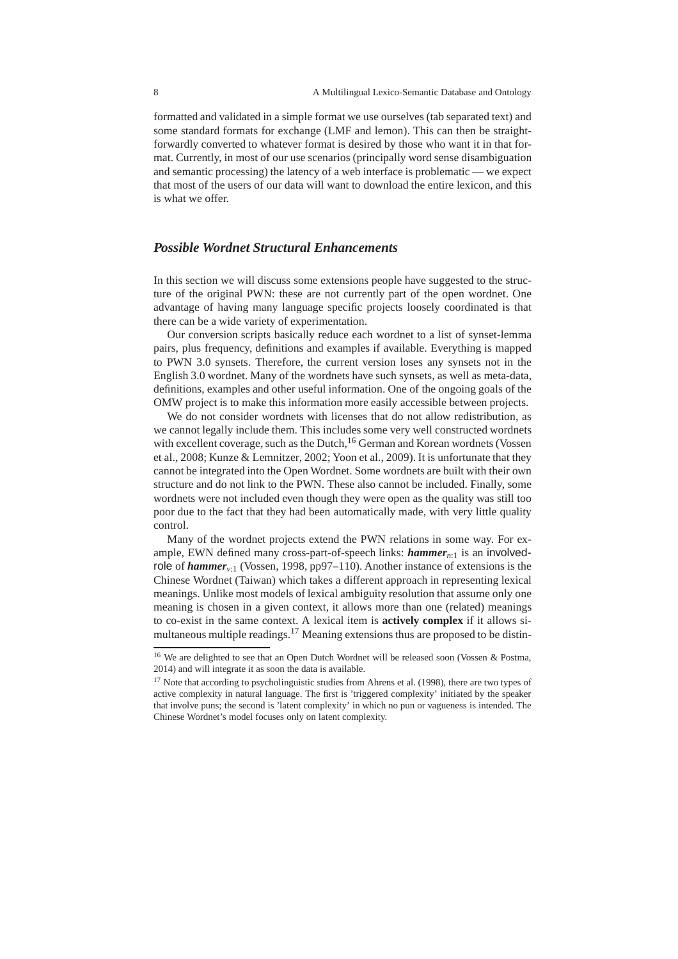formatted and validated in a simple format we use ourselves (tab separated text) and some standard formats for exchange (LMF and lemon). This can then be straightforwardly converted to whatever format is desired by those who want it in that format. Currently, in most of our use scenarios (principally word sense disambiguation and semantic processing) the latency of a web interface is problematic — we expect that most of the users of our data will want to download the entire lexicon, and this is what we offer.

### *Possible Wordnet Structural Enhancements*

In this section we will discuss some extensions people have suggested to the structure of the original PWN: these are not currently part of the open wordnet. One advantage of having many language specific projects loosely coordinated is that there can be a wide variety of experimentation.

Our conversion scripts basically reduce each wordnet to a list of synset-lemma pairs, plus frequency, definitions and examples if available. Everything is mapped to PWN 3.0 synsets. Therefore, the current version loses any synsets not in the English 3.0 wordnet. Many of the wordnets have such synsets, as well as meta-data, definitions, examples and other useful information. One of the ongoing goals of the OMW project is to make this information more easily accessible between projects.

We do not consider wordnets with licenses that do not allow redistribution, as we cannot legally include them. This includes some very well constructed wordnets with excellent coverage, such as the Dutch, $16$  German and Korean wordnets (Vossen et al., 2008; Kunze & Lemnitzer, 2002; Yoon et al., 2009). It is unfortunate that they cannot be integrated into the Open Wordnet. Some wordnets are built with their own structure and do not link to the PWN. These also cannot be included. Finally, some wordnets were not included even though they were open as the quality was still too poor due to the fact that they had been automatically made, with very little quality control.

Many of the wordnet projects extend the PWN relations in some way. For example, EWN defined many cross-part-of-speech links:  $hammer_{n:1}$  is an involvedrole of *hammerv*:1 (Vossen, 1998, pp97–110). Another instance of extensions is the Chinese Wordnet (Taiwan) which takes a different approach in representing lexical meanings. Unlike most models of lexical ambiguity resolution that assume only one meaning is chosen in a given context, it allows more than one (related) meanings to co-exist in the same context. A lexical item is **actively complex** if it allows simultaneous multiple readings.<sup>17</sup> Meaning extensions thus are proposed to be distin-

<sup>&</sup>lt;sup>16</sup> We are delighted to see that an Open Dutch Wordnet will be released soon (Vossen & Postma, 2014) and will integrate it as soon the data is available.

<sup>&</sup>lt;sup>17</sup> Note that according to psycholinguistic studies from Ahrens et al. (1998), there are two types of active complexity in natural language. The first is 'triggered complexity' initiated by the speaker that involve puns; the second is 'latent complexity' in which no pun or vagueness is intended. The Chinese Wordnet's model focuses only on latent complexity.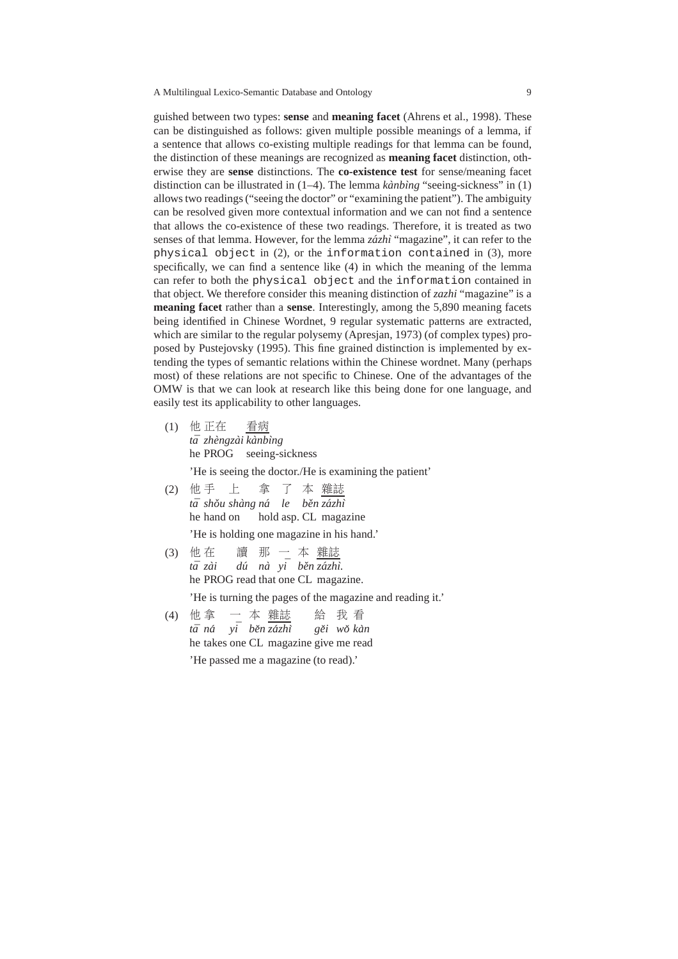guished between two types: **sense** and **meaning facet** (Ahrens et al., 1998). These can be distinguished as follows: given multiple possible meanings of a lemma, if a sentence that allows co-existing multiple readings for that lemma can be found, the distinction of these meanings are recognized as **meaning facet** distinction, otherwise they are **sense** distinctions. The **co-existence test** for sense/meaning facet distinction can be illustrated in  $(1-4)$ . The lemma *kanbing* "seeing-sickness" in  $(1)$ allows two readings ("seeing the doctor" or "examining the patient"). The ambiguity can be resolved given more contextual information and we can not find a sentence that allows the co-existence of these two readings. Therefore, it is treated as two senses of that lemma. However, for the lemma *zázhì* "magazine", it can refer to the physical object in (2), or the information contained in (3), more specifically, we can find a sentence like (4) in which the meaning of the lemma can refer to both the physical object and the information contained in that object. We therefore consider this meaning distinction of *zazhi* "magazine" is a **meaning facet** rather than a **sense**. Interestingly, among the 5,890 meaning facets being identified in Chinese Wordnet, 9 regular systematic patterns are extracted, which are similar to the regular polysemy (Apresian, 1973) (of complex types) proposed by Pustejovsky (1995). This fine grained distinction is implemented by extending the types of semantic relations within the Chinese wordnet. Many (perhaps most) of these relations are not specific to Chinese. One of the advantages of the OMW is that we can look at research like this being done for one language, and easily test its applicability to other languages.

- (1) 他 正在 *ta¯ zhengz ` ai` kanb ` `ıng* he PROG seeing-sickness 看病 'He is seeing the doctor./He is examining the patient'
- (2) 他 手 *ta¯ shouˇ shang ` na´ le benˇ zazh ´ `ı* he hand on 上 拿 hold asp. CL magazine 了 本 雜誌 'He is holding one magazine in his hand.'
- (3) 他 在 *ta¯ zai`* he PROG read that one CL magazine. 讀 那 一 本 雜誌 *du´ na` y¯i benˇ zazh ´ `ı.*

'He is turning the pages of the magazine and reading it.'

(4) 他 拿 *ta¯ na´* he takes one CL magazine give me read 一 本 雜誌 *y¯i benˇ zazh ´ `ı* 給 我 看 *geiˇ woˇ kan`*

'He passed me a magazine (to read).'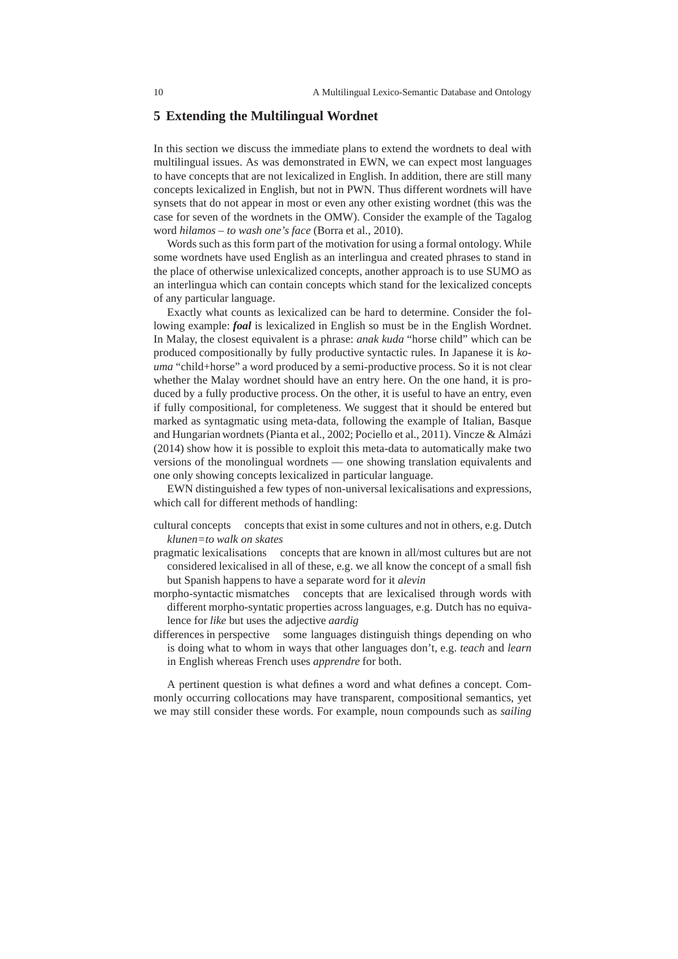#### **5 Extending the Multilingual Wordnet**

In this section we discuss the immediate plans to extend the wordnets to deal with multilingual issues. As was demonstrated in EWN, we can expect most languages to have concepts that are not lexicalized in English. In addition, there are still many concepts lexicalized in English, but not in PWN. Thus different wordnets will have synsets that do not appear in most or even any other existing wordnet (this was the case for seven of the wordnets in the OMW). Consider the example of the Tagalog word *hilamos – to wash one's face* (Borra et al., 2010).

Words such as this form part of the motivation for using a formal ontology. While some wordnets have used English as an interlingua and created phrases to stand in the place of otherwise unlexicalized concepts, another approach is to use SUMO as an interlingua which can contain concepts which stand for the lexicalized concepts of any particular language.

Exactly what counts as lexicalized can be hard to determine. Consider the following example: *foal* is lexicalized in English so must be in the English Wordnet. In Malay, the closest equivalent is a phrase: *anak kuda* "horse child" which can be produced compositionally by fully productive syntactic rules. In Japanese it is *kouma* "child+horse" a word produced by a semi-productive process. So it is not clear whether the Malay wordnet should have an entry here. On the one hand, it is produced by a fully productive process. On the other, it is useful to have an entry, even if fully compositional, for completeness. We suggest that it should be entered but marked as syntagmatic using meta-data, following the example of Italian, Basque and Hungarian wordnets (Pianta et al., 2002; Pociello et al., 2011). Vincze & Alm´azi (2014) show how it is possible to exploit this meta-data to automatically make two versions of the monolingual wordnets — one showing translation equivalents and one only showing concepts lexicalized in particular language.

EWN distinguished a few types of non-universal lexicalisations and expressions, which call for different methods of handling:

- cultural concepts concepts that exist in some cultures and not in others, e.g. Dutch *klunen=to walk on skates*
- pragmatic lexicalisations concepts that are known in all/most cultures but are not considered lexicalised in all of these, e.g. we all know the concept of a small fish but Spanish happens to have a separate word for it *alevin*
- morpho-syntactic mismatches concepts that are lexicalised through words with different morpho-syntatic properties across languages, e.g. Dutch has no equivalence for *like* but uses the adjective *aardig*
- differences in perspective some languages distinguish things depending on who is doing what to whom in ways that other languages don't, e.g. *teach* and *learn* in English whereas French uses *apprendre* for both.

A pertinent question is what defines a word and what defines a concept. Commonly occurring collocations may have transparent, compositional semantics, yet we may still consider these words. For example, noun compounds such as *sailing*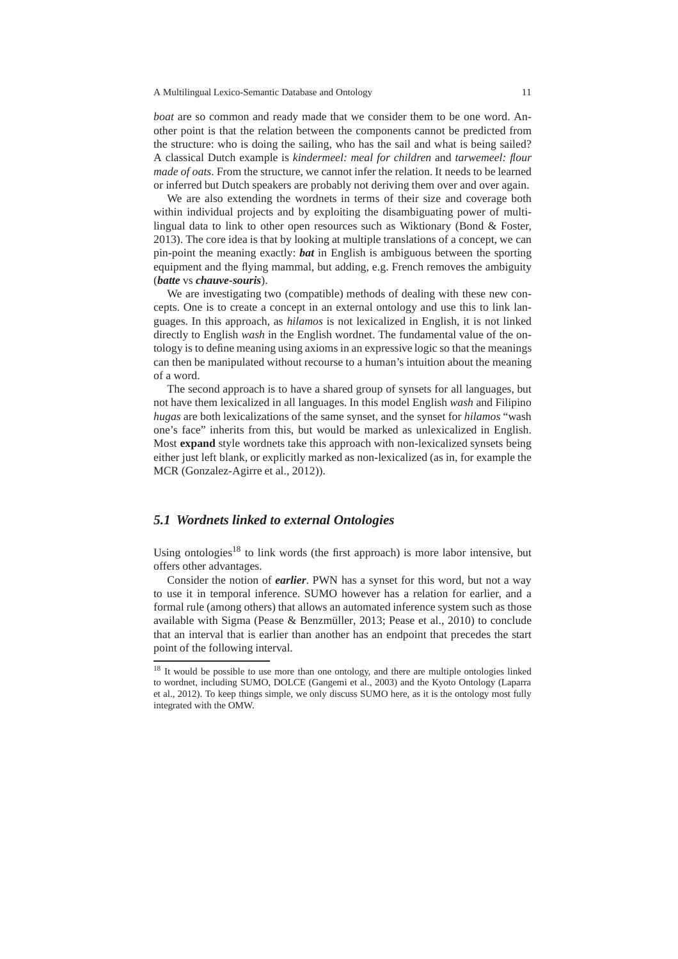*boat* are so common and ready made that we consider them to be one word. Another point is that the relation between the components cannot be predicted from the structure: who is doing the sailing, who has the sail and what is being sailed? A classical Dutch example is *kindermeel: meal for children* and *tarwemeel: flour made of oats*. From the structure, we cannot infer the relation. It needs to be learned or inferred but Dutch speakers are probably not deriving them over and over again.

We are also extending the wordnets in terms of their size and coverage both within individual projects and by exploiting the disambiguating power of multilingual data to link to other open resources such as Wiktionary (Bond & Foster, 2013). The core idea is that by looking at multiple translations of a concept, we can pin-point the meaning exactly: *bat* in English is ambiguous between the sporting equipment and the flying mammal, but adding, e.g. French removes the ambiguity (*batte* vs *chauve-souris*).

We are investigating two (compatible) methods of dealing with these new concepts. One is to create a concept in an external ontology and use this to link languages. In this approach, as *hilamos* is not lexicalized in English, it is not linked directly to English *wash* in the English wordnet. The fundamental value of the ontology is to define meaning using axioms in an expressive logic so that the meanings can then be manipulated without recourse to a human's intuition about the meaning of a word.

The second approach is to have a shared group of synsets for all languages, but not have them lexicalized in all languages. In this model English *wash* and Filipino *hugas* are both lexicalizations of the same synset, and the synset for *hilamos* "wash one's face" inherits from this, but would be marked as unlexicalized in English. Most **expand** style wordnets take this approach with non-lexicalized synsets being either just left blank, or explicitly marked as non-lexicalized (as in, for example the MCR (Gonzalez-Agirre et al., 2012)).

#### *5.1 Wordnets linked to external Ontologies*

Using ontologies<sup>18</sup> to link words (the first approach) is more labor intensive, but offers other advantages.

Consider the notion of *earlier*. PWN has a synset for this word, but not a way to use it in temporal inference. SUMO however has a relation for earlier, and a formal rule (among others) that allows an automated inference system such as those available with Sigma (Pease & Benzmüller,  $2013$ ; Pease et al.,  $2010$ ) to conclude that an interval that is earlier than another has an endpoint that precedes the start point of the following interval.

<sup>&</sup>lt;sup>18</sup> It would be possible to use more than one ontology, and there are multiple ontologies linked to wordnet, including SUMO, DOLCE (Gangemi et al., 2003) and the Kyoto Ontology (Laparra et al., 2012). To keep things simple, we only discuss SUMO here, as it is the ontology most fully integrated with the OMW.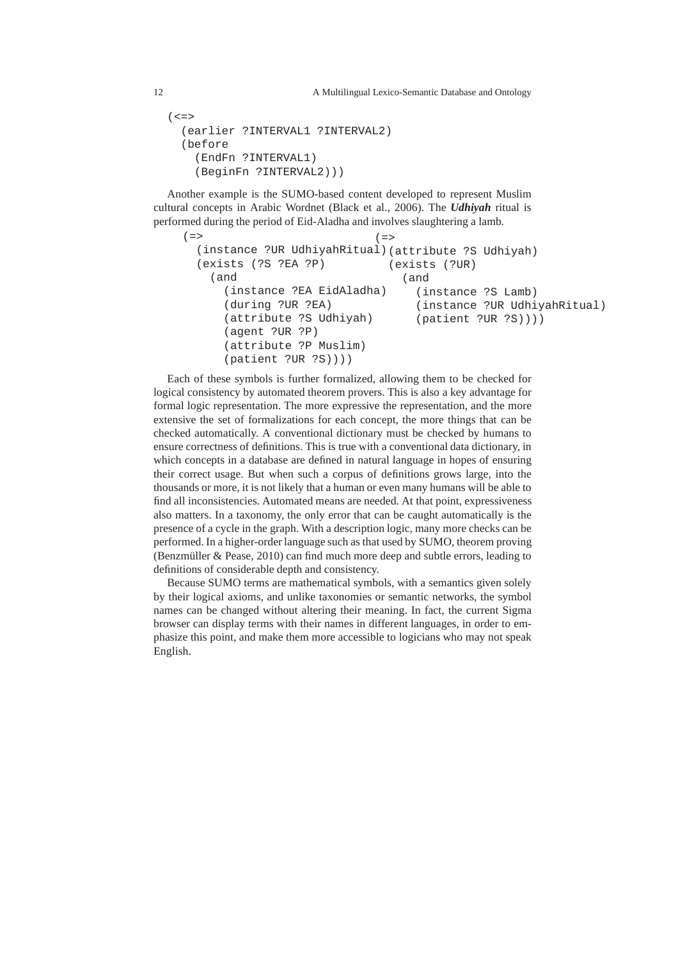```
\langle \langle = \rangle(earlier ?INTERVAL1 ?INTERVAL2)
  (before
     (EndFn ?INTERVAL1)
     (BeginFn ?INTERVAL2)))
```
Another example is the SUMO-based content developed to represent Muslim cultural concepts in Arabic Wordnet (Black et al., 2006). The *Udhiyah* ritual is performed during the period of Eid-Aladha and involves slaughtering a lamb.

```
(=)(instance ?UR UdhiyahRitual)
(attribute ?S Udhiyah)
  (exists (?S ?EA ?P)
    (and
      (instance ?EA EidAladha)
      (during ?UR ?EA)
      (attribute ?S Udhiyah)
      (agent ?UR ?P)
      (attribute ?P Muslim)
      (patient ?UR ?S))))
                              ( \Rightarrow(exists (?UR)
                                  (and
                                    (instance ?S Lamb)
                                    (instance ?UR UdhiyahRitual)
                                    (patient ?UR ?S))))
```
Each of these symbols is further formalized, allowing them to be checked for logical consistency by automated theorem provers. This is also a key advantage for formal logic representation. The more expressive the representation, and the more extensive the set of formalizations for each concept, the more things that can be checked automatically. A conventional dictionary must be checked by humans to ensure correctness of definitions. This is true with a conventional data dictionary, in which concepts in a database are defined in natural language in hopes of ensuring their correct usage. But when such a corpus of definitions grows large, into the thousands or more, it is not likely that a human or even many humans will be able to find all inconsistencies. Automated means are needed. At that point, expressiveness also matters. In a taxonomy, the only error that can be caught automatically is the presence of a cycle in the graph. With a description logic, many more checks can be performed. In a higher-order language such as that used by SUMO, theorem proving (Benzmüller  $&$  Pease, 2010) can find much more deep and subtle errors, leading to definitions of considerable depth and consistency.

Because SUMO terms are mathematical symbols, with a semantics given solely by their logical axioms, and unlike taxonomies or semantic networks, the symbol names can be changed without altering their meaning. In fact, the current Sigma browser can display terms with their names in different languages, in order to emphasize this point, and make them more accessible to logicians who may not speak English.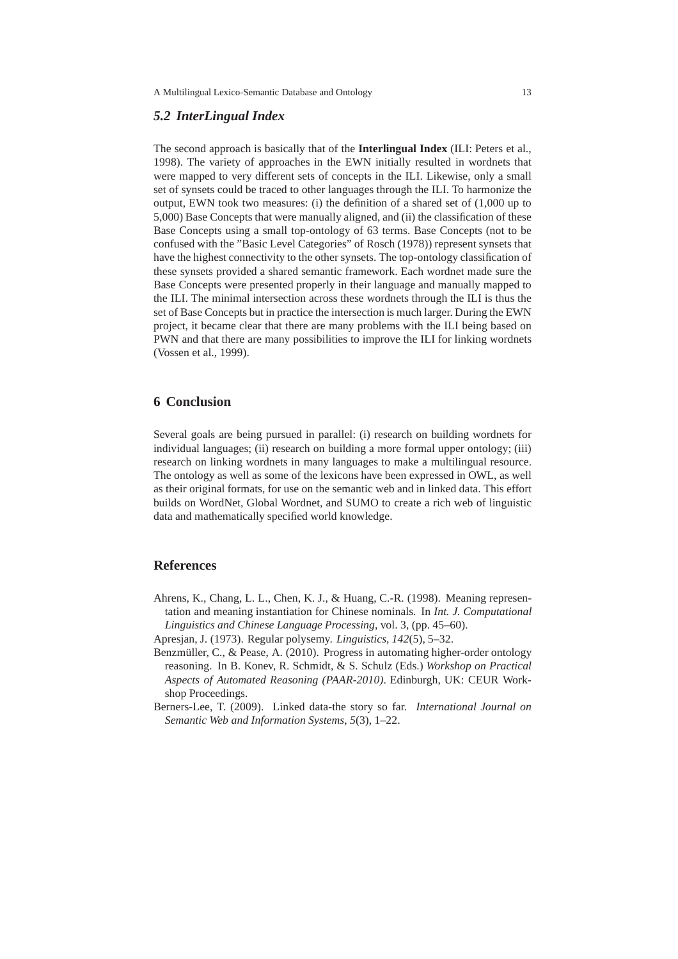#### *5.2 InterLingual Index*

The second approach is basically that of the **Interlingual Index** (ILI: Peters et al., 1998). The variety of approaches in the EWN initially resulted in wordnets that were mapped to very different sets of concepts in the ILI. Likewise, only a small set of synsets could be traced to other languages through the ILI. To harmonize the output, EWN took two measures: (i) the definition of a shared set of (1,000 up to 5,000) Base Concepts that were manually aligned, and (ii) the classification of these Base Concepts using a small top-ontology of 63 terms. Base Concepts (not to be confused with the "Basic Level Categories" of Rosch (1978)) represent synsets that have the highest connectivity to the other synsets. The top-ontology classification of these synsets provided a shared semantic framework. Each wordnet made sure the Base Concepts were presented properly in their language and manually mapped to the ILI. The minimal intersection across these wordnets through the ILI is thus the set of Base Concepts but in practice the intersection is much larger. During the EWN project, it became clear that there are many problems with the ILI being based on PWN and that there are many possibilities to improve the ILI for linking wordnets (Vossen et al., 1999).

#### **6 Conclusion**

Several goals are being pursued in parallel: (i) research on building wordnets for individual languages; (ii) research on building a more formal upper ontology; (iii) research on linking wordnets in many languages to make a multilingual resource. The ontology as well as some of the lexicons have been expressed in OWL, as well as their original formats, for use on the semantic web and in linked data. This effort builds on WordNet, Global Wordnet, and SUMO to create a rich web of linguistic data and mathematically specified world knowledge.

# **References**

- Ahrens, K., Chang, L. L., Chen, K. J., & Huang, C.-R. (1998). Meaning representation and meaning instantiation for Chinese nominals. In *Int. J. Computational Linguistics and Chinese Language Processing*, vol. 3, (pp. 45–60).
- Apresjan, J. (1973). Regular polysemy. *Linguistics*, *142*(5), 5–32.
- Benzmüller, C., & Pease, A. (2010). Progress in automating higher-order ontology reasoning. In B. Konev, R. Schmidt, & S. Schulz (Eds.) *Workshop on Practical Aspects of Automated Reasoning (PAAR-2010)*. Edinburgh, UK: CEUR Workshop Proceedings.
- Berners-Lee, T. (2009). Linked data-the story so far. *International Journal on Semantic Web and Information Systems*, *5*(3), 1–22.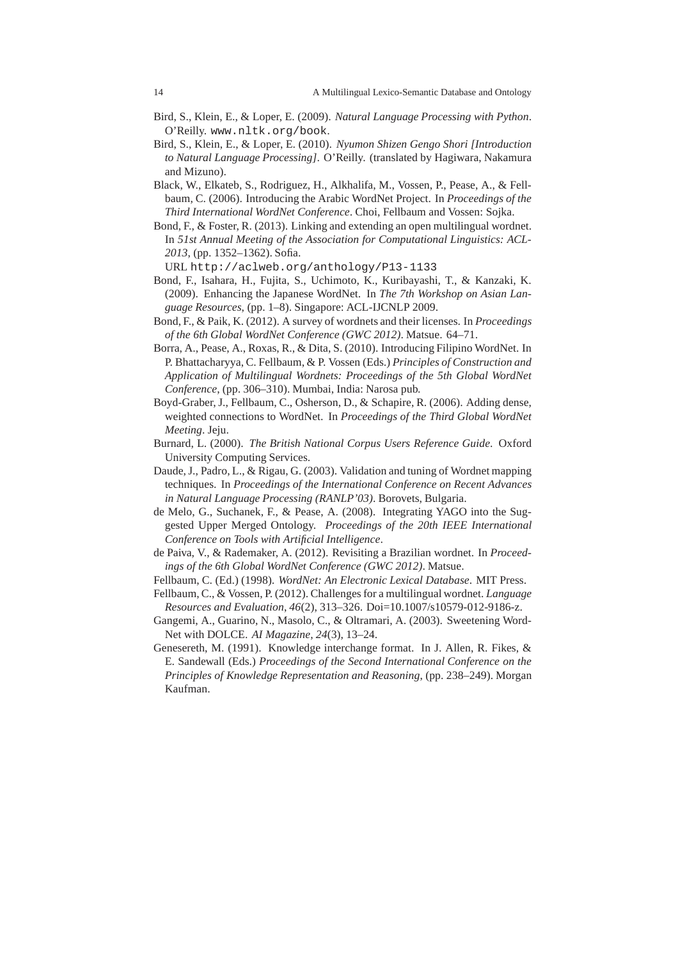- Bird, S., Klein, E., & Loper, E. (2009). *Natural Language Processing with Python*. O'Reilly. www.nltk.org/book.
- Bird, S., Klein, E., & Loper, E. (2010). *Nyumon Shizen Gengo Shori [Introduction to Natural Language Processing]*. O'Reilly. (translated by Hagiwara, Nakamura and Mizuno).
- Black, W., Elkateb, S., Rodriguez, H., Alkhalifa, M., Vossen, P., Pease, A., & Fellbaum, C. (2006). Introducing the Arabic WordNet Project. In *Proceedings of the Third International WordNet Conference*. Choi, Fellbaum and Vossen: Sojka.
- Bond, F., & Foster, R. (2013). Linking and extending an open multilingual wordnet. In *51st Annual Meeting of the Association for Computational Linguistics: ACL-2013*, (pp. 1352–1362). Sofia.

URL http://aclweb.org/anthology/P13-1133

- Bond, F., Isahara, H., Fujita, S., Uchimoto, K., Kuribayashi, T., & Kanzaki, K. (2009). Enhancing the Japanese WordNet. In *The 7th Workshop on Asian Language Resources*, (pp. 1–8). Singapore: ACL-IJCNLP 2009.
- Bond, F., & Paik, K. (2012). A survey of wordnets and their licenses. In *Proceedings of the 6th Global WordNet Conference (GWC 2012)*. Matsue. 64–71.
- Borra, A., Pease, A., Roxas, R., & Dita, S. (2010). Introducing Filipino WordNet. In P. Bhattacharyya, C. Fellbaum, & P. Vossen (Eds.) *Principles of Construction and Application of Multilingual Wordnets: Proceedings of the 5th Global WordNet Conference*, (pp. 306–310). Mumbai, India: Narosa pub.
- Boyd-Graber, J., Fellbaum, C., Osherson, D., & Schapire, R. (2006). Adding dense, weighted connections to WordNet. In *Proceedings of the Third Global WordNet Meeting*. Jeju.
- Burnard, L. (2000). *The British National Corpus Users Reference Guide*. Oxford University Computing Services.
- Daude, J., Padro, L., & Rigau, G. (2003). Validation and tuning of Wordnet mapping techniques. In *Proceedings of the International Conference on Recent Advances in Natural Language Processing (RANLP'03)*. Borovets, Bulgaria.
- de Melo, G., Suchanek, F., & Pease, A. (2008). Integrating YAGO into the Suggested Upper Merged Ontology. *Proceedings of the 20th IEEE International Conference on Tools with Artificial Intelligence*.
- de Paiva, V., & Rademaker, A. (2012). Revisiting a Brazilian wordnet. In *Proceedings of the 6th Global WordNet Conference (GWC 2012)*. Matsue.
- Fellbaum, C. (Ed.) (1998). *WordNet: An Electronic Lexical Database*. MIT Press.
- Fellbaum, C., & Vossen, P. (2012). Challenges for a multilingual wordnet. *Language Resources and Evaluation*, *46*(2), 313–326. Doi=10.1007/s10579-012-9186-z.
- Gangemi, A., Guarino, N., Masolo, C., & Oltramari, A. (2003). Sweetening Word-Net with DOLCE. *AI Magazine*, *24*(3), 13–24.
- Genesereth, M. (1991). Knowledge interchange format. In J. Allen, R. Fikes, & E. Sandewall (Eds.) *Proceedings of the Second International Conference on the Principles of Knowledge Representation and Reasoning*, (pp. 238–249). Morgan Kaufman.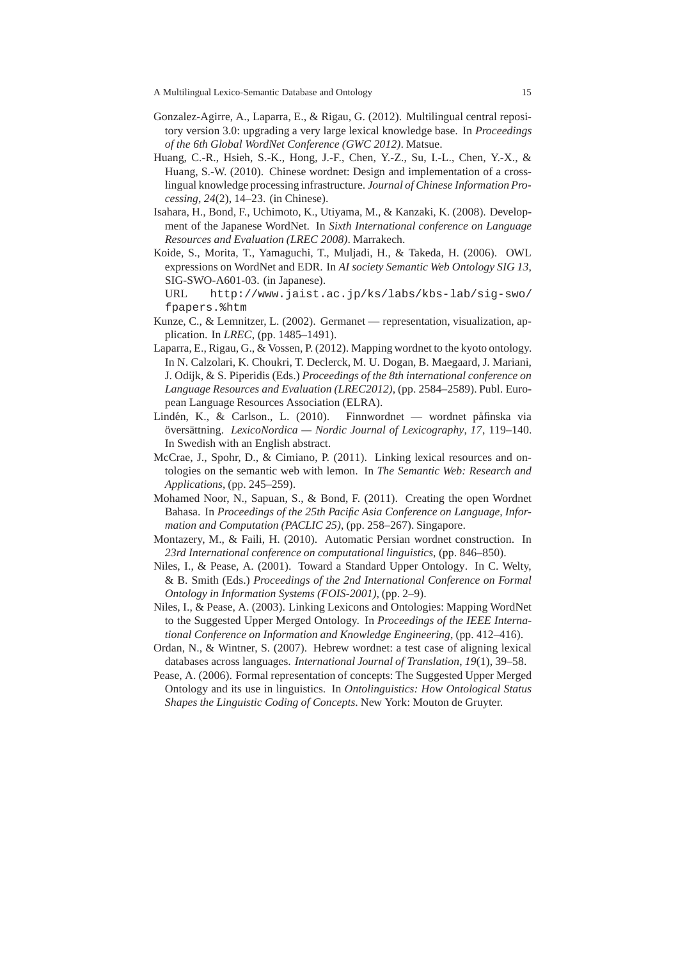- Gonzalez-Agirre, A., Laparra, E., & Rigau, G. (2012). Multilingual central repository version 3.0: upgrading a very large lexical knowledge base. In *Proceedings of the 6th Global WordNet Conference (GWC 2012)*. Matsue.
- Huang, C.-R., Hsieh, S.-K., Hong, J.-F., Chen, Y.-Z., Su, I.-L., Chen, Y.-X., & Huang, S.-W. (2010). Chinese wordnet: Design and implementation of a crosslingual knowledge processing infrastructure. *Journal of Chinese Information Processing*, *24*(2), 14–23. (in Chinese).
- Isahara, H., Bond, F., Uchimoto, K., Utiyama, M., & Kanzaki, K. (2008). Development of the Japanese WordNet. In *Sixth International conference on Language Resources and Evaluation (LREC 2008)*. Marrakech.
- Koide, S., Morita, T., Yamaguchi, T., Muljadi, H., & Takeda, H. (2006). OWL expressions on WordNet and EDR. In *AI society Semantic Web Ontology SIG 13*, SIG-SWO-A601-03. (in Japanese).
	- URL http://www.jaist.ac.jp/ks/labs/kbs-lab/sig-swo/ fpapers.%htm
- Kunze, C., & Lemnitzer, L. (2002). Germanet representation, visualization, application. In *LREC*, (pp. 1485–1491).
- Laparra, E., Rigau, G., & Vossen, P. (2012). Mapping wordnet to the kyoto ontology. In N. Calzolari, K. Choukri, T. Declerck, M. U. Dogan, B. Maegaard, J. Mariani, J. Odijk, & S. Piperidis (Eds.) *Proceedings of the 8th international conference on Language Resources and Evaluation (LREC2012)*, (pp. 2584–2589). Publ. European Language Resources Association (ELRA).
- Lindén, K., & Carlson., L. (2010). Finnwordnet wordnet påfinska via ¨overs¨attning. *LexicoNordica — Nordic Journal of Lexicography*, *17*, 119–140. In Swedish with an English abstract.
- McCrae, J., Spohr, D., & Cimiano, P. (2011). Linking lexical resources and ontologies on the semantic web with lemon. In *The Semantic Web: Research and Applications*, (pp. 245–259).
- Mohamed Noor, N., Sapuan, S., & Bond, F. (2011). Creating the open Wordnet Bahasa. In *Proceedings of the 25th Pacific Asia Conference on Language, Information and Computation (PACLIC 25)*, (pp. 258–267). Singapore.
- Montazery, M., & Faili, H. (2010). Automatic Persian wordnet construction. In *23rd International conference on computational linguistics*, (pp. 846–850).
- Niles, I., & Pease, A. (2001). Toward a Standard Upper Ontology. In C. Welty, & B. Smith (Eds.) *Proceedings of the 2nd International Conference on Formal Ontology in Information Systems (FOIS-2001)*, (pp. 2–9).
- Niles, I., & Pease, A. (2003). Linking Lexicons and Ontologies: Mapping WordNet to the Suggested Upper Merged Ontology. In *Proceedings of the IEEE International Conference on Information and Knowledge Engineering*, (pp. 412–416).
- Ordan, N., & Wintner, S. (2007). Hebrew wordnet: a test case of aligning lexical databases across languages. *International Journal of Translation*, *19*(1), 39–58.
- Pease, A. (2006). Formal representation of concepts: The Suggested Upper Merged Ontology and its use in linguistics. In *Ontolinguistics: How Ontological Status Shapes the Linguistic Coding of Concepts*. New York: Mouton de Gruyter.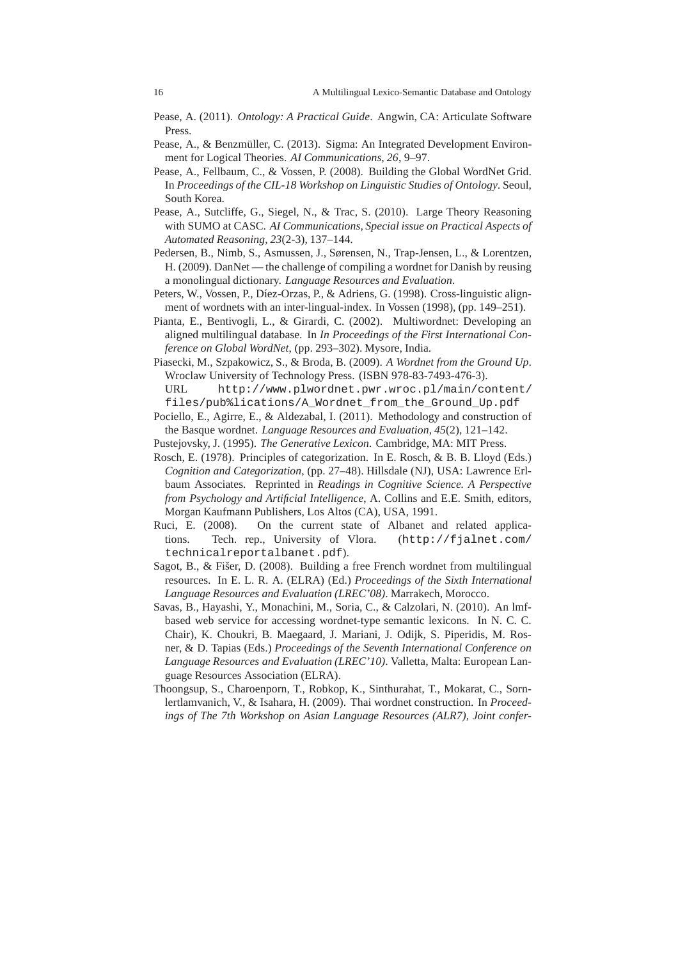- Pease, A. (2011). *Ontology: A Practical Guide*. Angwin, CA: Articulate Software Press.
- Pease, A., & Benzmüller, C. (2013). Sigma: An Integrated Development Environment for Logical Theories. *AI Communications*, *26*, 9–97.
- Pease, A., Fellbaum, C., & Vossen, P. (2008). Building the Global WordNet Grid. In *Proceedings of the CIL-18 Workshop on Linguistic Studies of Ontology*. Seoul, South Korea.
- Pease, A., Sutcliffe, G., Siegel, N., & Trac, S. (2010). Large Theory Reasoning with SUMO at CASC. *AI Communications, Special issue on Practical Aspects of Automated Reasoning*, *23*(2-3), 137–144.
- Pedersen, B., Nimb, S., Asmussen, J., Sørensen, N., Trap-Jensen, L., & Lorentzen, H. (2009). DanNet — the challenge of compiling a wordnet for Danish by reusing a monolingual dictionary. *Language Resources and Evaluation*.
- Peters, W., Vossen, P., Díez-Orzas, P., & Adriens, G. (1998). Cross-linguistic alignment of wordnets with an inter-lingual-index. In Vossen (1998), (pp. 149–251).
- Pianta, E., Bentivogli, L., & Girardi, C. (2002). Multiwordnet: Developing an aligned multilingual database. In *In Proceedings of the First International Conference on Global WordNet*, (pp. 293–302). Mysore, India.
- Piasecki, M., Szpakowicz, S., & Broda, B. (2009). *A Wordnet from the Ground Up*. Wroclaw University of Technology Press. (ISBN 978-83-7493-476-3).
	- URL http://www.plwordnet.pwr.wroc.pl/main/content/ files/pub%lications/A\_Wordnet\_from\_the\_Ground\_Up.pdf
- Pociello, E., Agirre, E., & Aldezabal, I. (2011). Methodology and construction of the Basque wordnet. *Language Resources and Evaluation*, *45*(2), 121–142.
- Pustejovsky, J. (1995). *The Generative Lexicon*. Cambridge, MA: MIT Press.
- Rosch, E. (1978). Principles of categorization. In E. Rosch, & B. B. Lloyd (Eds.) *Cognition and Categorization*, (pp. 27–48). Hillsdale (NJ), USA: Lawrence Erlbaum Associates. Reprinted in *Readings in Cognitive Science. A Perspective from Psychology and Artificial Intelligence*, A. Collins and E.E. Smith, editors, Morgan Kaufmann Publishers, Los Altos (CA), USA, 1991.
- Ruci, E. (2008). On the current state of Albanet and related applications. Tech. rep., University of Vlora. (http://fjalnet.com/ technicalreportalbanet.pdf).
- Sagot, B., & Fišer, D. (2008). Building a free French wordnet from multilingual resources. In E. L. R. A. (ELRA) (Ed.) *Proceedings of the Sixth International Language Resources and Evaluation (LREC'08)*. Marrakech, Morocco.
- Savas, B., Hayashi, Y., Monachini, M., Soria, C., & Calzolari, N. (2010). An lmfbased web service for accessing wordnet-type semantic lexicons. In N. C. C. Chair), K. Choukri, B. Maegaard, J. Mariani, J. Odijk, S. Piperidis, M. Rosner, & D. Tapias (Eds.) *Proceedings of the Seventh International Conference on Language Resources and Evaluation (LREC'10)*. Valletta, Malta: European Language Resources Association (ELRA).
- Thoongsup, S., Charoenporn, T., Robkop, K., Sinthurahat, T., Mokarat, C., Sornlertlamvanich, V., & Isahara, H. (2009). Thai wordnet construction. In *Proceedings of The 7th Workshop on Asian Language Resources (ALR7), Joint confer-*